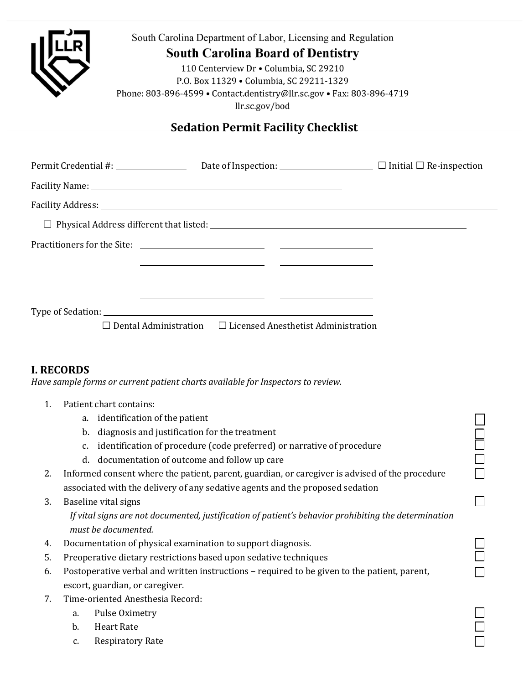| South Carolina Department of Labor, Licensing and Regulation<br><b>South Carolina Board of Dentistry</b><br>110 Centerview Dr · Columbia, SC 29210<br>P.O. Box 11329 . Columbia, SC 29211-1329<br>Phone: 803-896-4599 • Contact.dentistry@llr.sc.gov • Fax: 803-896-4719<br>llr.sc.gov/bod |  |  |  |  |  |  |
|--------------------------------------------------------------------------------------------------------------------------------------------------------------------------------------------------------------------------------------------------------------------------------------------|--|--|--|--|--|--|
| <b>Sedation Permit Facility Checklist</b>                                                                                                                                                                                                                                                  |  |  |  |  |  |  |
| Permit Credential #: $\qquad \qquad$ Date of Inspection: $\qquad \qquad$ Initial $\Box$ Re-inspection                                                                                                                                                                                      |  |  |  |  |  |  |
|                                                                                                                                                                                                                                                                                            |  |  |  |  |  |  |
|                                                                                                                                                                                                                                                                                            |  |  |  |  |  |  |
|                                                                                                                                                                                                                                                                                            |  |  |  |  |  |  |
| <u> 1989 - Jan Samuel Barbara, margaret eta idazlearia (h. 1989).</u><br><u> 1989 - Andrea Barbara, Amerikaansk politiker (d. 1989)</u>                                                                                                                                                    |  |  |  |  |  |  |
|                                                                                                                                                                                                                                                                                            |  |  |  |  |  |  |
| $\Box$ Dental Administration $\Box$ Licensed Anesthetist Administration                                                                                                                                                                                                                    |  |  |  |  |  |  |

## **I. RECORDS**

*Have sample forms or current patient charts available for Inspectors to review.* 

- 1. Patient chart contains:
	-
	- b. diagnosis and justification for the treatment
	- a. identification of the patient<br>
	b. diagnosis and justification for the treatment<br>
	c. identification of procedure (code preferred) or narrative of procedure<br>
	d. documentation of outcome and follow up care c. identification of procedure (code preferred) or narrative of procedure
	- d. documentation of outcome and follow up care
- 2. Informed consent where the patient, parent, guardian, or caregiver is advised of the procedure associated with the delivery of any sedative agents and the proposed sedation
- 3. Baseline vital signs

 *If vital signs are not documented, justification of patient's behavior prohibiting the determination must be documented.*

 $\Box$ 

☐

☐

- 
- 4. Documentation of physical examination to support diagnosis.  $□$ <br>5. Preoperative dietary restrictions based upon sedative techniques  $□$ 5. Preoperative dietary restrictions based upon sedative techniques
- 6. Postoperative verbal and written instructions required to be given to the patient, parent, escort, guardian, or caregiver.
- 7. Time-oriented Anesthesia Record:
	- a. Pulse Oximetry
	- b. Heart Rate
	- c. Respiratory Rate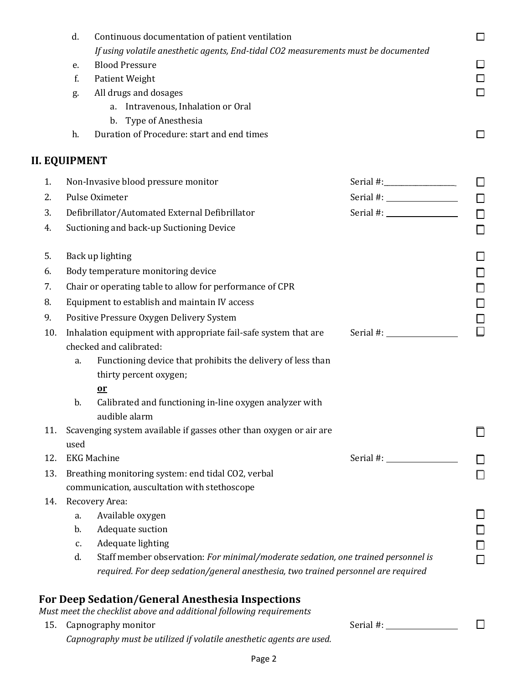|     | d.<br>Continuous documentation of patient ventilation                                                                                                                                                                                                                                                                                                             |                    |        |  |  |
|-----|-------------------------------------------------------------------------------------------------------------------------------------------------------------------------------------------------------------------------------------------------------------------------------------------------------------------------------------------------------------------|--------------------|--------|--|--|
|     | If using volatile anesthetic agents, End-tidal CO2 measurements must be documented                                                                                                                                                                                                                                                                                |                    |        |  |  |
|     | <b>Blood Pressure</b><br>e.                                                                                                                                                                                                                                                                                                                                       |                    | ◻      |  |  |
|     | f.<br>Patient Weight                                                                                                                                                                                                                                                                                                                                              |                    | $\Box$ |  |  |
|     | All drugs and dosages<br>g.                                                                                                                                                                                                                                                                                                                                       |                    | □      |  |  |
|     | a. Intravenous, Inhalation or Oral                                                                                                                                                                                                                                                                                                                                |                    |        |  |  |
|     | b. Type of Anesthesia                                                                                                                                                                                                                                                                                                                                             |                    |        |  |  |
|     | Duration of Procedure: start and end times<br>h.                                                                                                                                                                                                                                                                                                                  |                    | □      |  |  |
|     | <b>II. EQUIPMENT</b>                                                                                                                                                                                                                                                                                                                                              |                    |        |  |  |
| 1.  | Non-Invasive blood pressure monitor                                                                                                                                                                                                                                                                                                                               |                    | $\Box$ |  |  |
| 2.  | Pulse Oximeter                                                                                                                                                                                                                                                                                                                                                    |                    | $\Box$ |  |  |
| 3.  | Serial #: $\frac{1}{2}$ $\frac{1}{2}$ $\frac{1}{2}$ $\frac{1}{2}$ $\frac{1}{2}$ $\frac{1}{2}$ $\frac{1}{2}$ $\frac{1}{2}$ $\frac{1}{2}$ $\frac{1}{2}$ $\frac{1}{2}$ $\frac{1}{2}$ $\frac{1}{2}$ $\frac{1}{2}$ $\frac{1}{2}$ $\frac{1}{2}$ $\frac{1}{2}$ $\frac{1}{2}$ $\frac{1}{2}$ $\frac{1}{2}$ $\frac{1}{2}$<br>Defibrillator/Automated External Defibrillator |                    |        |  |  |
| 4.  | Suctioning and back-up Suctioning Device                                                                                                                                                                                                                                                                                                                          |                    |        |  |  |
| 5.  | Back up lighting                                                                                                                                                                                                                                                                                                                                                  |                    | □      |  |  |
| 6.  | Body temperature monitoring device                                                                                                                                                                                                                                                                                                                                |                    |        |  |  |
| 7.  | $\Box$<br>Chair or operating table to allow for performance of CPR                                                                                                                                                                                                                                                                                                |                    |        |  |  |
| 8.  | $\Box$<br>Equipment to establish and maintain IV access<br>$\Box$                                                                                                                                                                                                                                                                                                 |                    |        |  |  |
| 9.  | Positive Pressure Oxygen Delivery System                                                                                                                                                                                                                                                                                                                          |                    |        |  |  |
| 10. | Serial #: $\frac{1}{2}$<br>Inhalation equipment with appropriate fail-safe system that are                                                                                                                                                                                                                                                                        |                    |        |  |  |
|     | checked and calibrated:                                                                                                                                                                                                                                                                                                                                           |                    |        |  |  |
|     | Functioning device that prohibits the delivery of less than<br>a.                                                                                                                                                                                                                                                                                                 |                    |        |  |  |
|     | thirty percent oxygen;                                                                                                                                                                                                                                                                                                                                            |                    |        |  |  |
|     | $\mathbf{a}$                                                                                                                                                                                                                                                                                                                                                      |                    |        |  |  |
|     | Calibrated and functioning in-line oxygen analyzer with<br>b.                                                                                                                                                                                                                                                                                                     |                    |        |  |  |
|     | audible alarm                                                                                                                                                                                                                                                                                                                                                     |                    |        |  |  |
| 11. | Scavenging system available if gasses other than oxygen or air are                                                                                                                                                                                                                                                                                                |                    |        |  |  |
|     | used                                                                                                                                                                                                                                                                                                                                                              |                    |        |  |  |
| 12. |                                                                                                                                                                                                                                                                                                                                                                   | <b>EKG Machine</b> |        |  |  |
| 13. | Breathing monitoring system: end tidal CO2, verbal                                                                                                                                                                                                                                                                                                                |                    |        |  |  |
|     | communication, auscultation with stethoscope                                                                                                                                                                                                                                                                                                                      |                    |        |  |  |
| 14. | Recovery Area:                                                                                                                                                                                                                                                                                                                                                    |                    |        |  |  |
|     | Available oxygen<br>a.                                                                                                                                                                                                                                                                                                                                            |                    |        |  |  |
|     | Adequate suction<br>$b$ .                                                                                                                                                                                                                                                                                                                                         |                    | $\Box$ |  |  |
|     | Adequate lighting<br>c.                                                                                                                                                                                                                                                                                                                                           |                    | $\Box$ |  |  |
|     | Staff member observation: For minimal/moderate sedation, one trained personnel is<br>d.                                                                                                                                                                                                                                                                           |                    | П      |  |  |
|     | required. For deep sedation/general anesthesia, two trained personnel are required                                                                                                                                                                                                                                                                                |                    |        |  |  |
|     | For Deep Sedation/General Anesthesia Inspections                                                                                                                                                                                                                                                                                                                  |                    |        |  |  |
| 15. | Must meet the checklist above and additional following requirements<br>Capnography monitor                                                                                                                                                                                                                                                                        | Serial #:          |        |  |  |
|     |                                                                                                                                                                                                                                                                                                                                                                   |                    |        |  |  |